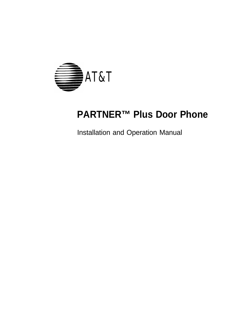

## **PARTNER™ Plus Door Phone**

Installation and Operation Manual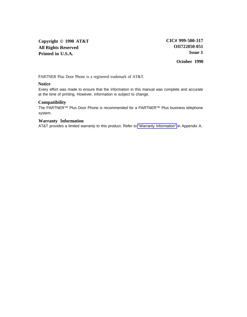**Copyright © 1990 AT&T All Rights Reserved Printed in U.S.A.**

**October 1990**

PARTNER Plus Door Phone is a registered trademark of AT&T.

#### **Notice**

Every effort was made to ensure that the information in this manual was complete and accurate at the time of printing. However, information is subject to change.

#### **Compatibility**

The PARTNER™ Plus Door Phone is recommended for a PARTNER™ Plus business telephone system.

#### **Warranty Information**

AT&T provides a limited warranty to this product. Refer to ["Warranty Information"](#page-18-0) in Appendix A.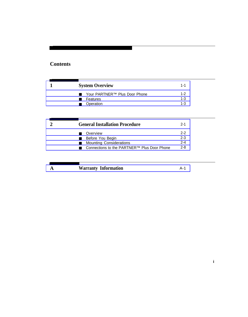### **Contents**

| <b>System Overview</b>                    | $1 - 1$            |
|-------------------------------------------|--------------------|
| Your PARTNER™ Plus Door Phone<br>Features | $1 - 2$<br>$1 - 3$ |
| Operation                                 | $1 - 3$            |
|                                           |                    |
| <b>General Installation Procedure</b>     | $2 - 1$            |
| Overview                                  | $2 - 2$            |
| Before You Begin                          | $2 - 3$            |
| <b>Mounting Considerations</b>            | $2 - 4$            |

### **A [Warranty Information](#page-18-1)** A-1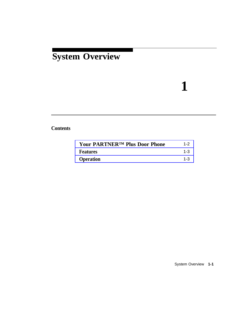## <span id="page-3-0"></span>**System Overview**

# **1**

### **Contents**

| <b>Your PARTNERTM Plus Door Phone</b> | $1 - 2$ |
|---------------------------------------|---------|
| <b>Features</b>                       | $1 - 3$ |
| <b>Operation</b>                      | $1 - 3$ |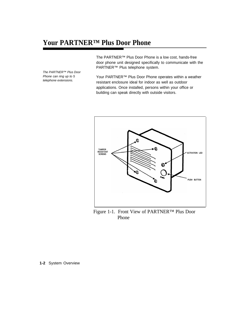## <span id="page-4-1"></span><span id="page-4-0"></span>**Your PARTNER™ Plus Door Phone**

The PARTNER™ Plus Door Phone can ring up to 5 telephone extensions.

The PARTNER™ Plus Door Phone is a low cost, hands-free door phone unit designed specifically to communicate with the PARTNER™ Plus telephone system.

Your PARTNER™ Plus Door Phone operates within a weather resistant enclosure ideal for indoor as well as outdoor applications. Once installed, persons within your office or building can speak directly with outside visitors.



Figure 1-1. Front View of PARTNER™ Plus Door Phone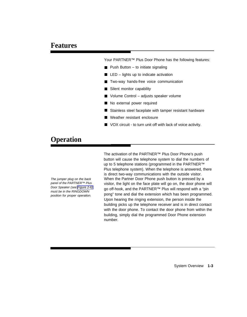<span id="page-5-2"></span><span id="page-5-1"></span>Your PARTNER™ Plus Door Phone has the following features:

- Push Button to initiate signaling
- LED – lights up to indicate activation
- Two-way hands-free voice communication
- Silent monitor capability
- Volume Control adjusts speaker volume
- No external power required
- Stainless steel faceplate with tamper resistant hardware
- Weather resistant enclosure
- VOX circuit to turn unit off with lack of voice activity.

## <span id="page-5-3"></span><span id="page-5-0"></span>**Operation**

Door Speaker (see [Figure 2-6\)](#page-16-0)

The activation of the PARTNER™ Plus Door Phone's push button will cause the telephone system to dial the numbers of up to 5 telephone stations (programmed in the PARTNER™ Plus telephone system). When the telephone is answered, there is direct two-way communications with the outside visitor. The jumper plug on the back When the Partner Door Phone push button is pressed by a panel of the PARTNER™ Plus visitor, the light on the face plate will go on, the door phone will Door speaker (see Figure 2-6) go off-hook, and the PARTNER™ Plus will respond with a "pin must be in the RINGDOWN position for proper operation. pong" tone and dial the extension which has been programmed. Upon hearing the ringing extension, the person inside the building picks up the telephone receiver and is in direct contact with the door phone. To contact the door phone from within the building, simply dial the programmed Door Phone extension number.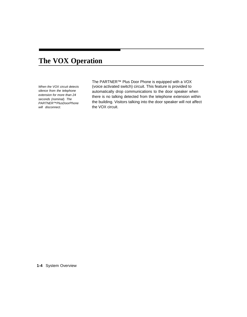## **The VOX Operation**

When the VOX circuit detects silence from the telephone extension for more than 24 seconds (nominal). The PARTNER™PlusDoorPhone will disconnect.

The PARTNER™ Plus Door Phone is equipped with a VOX (voice activated switch) circuit. This feature is provided to automatically drop communications to the door speaker when there is no talking detected from the telephone extension within the building. Visitors talking into the door speaker will not affect the VOX circuit.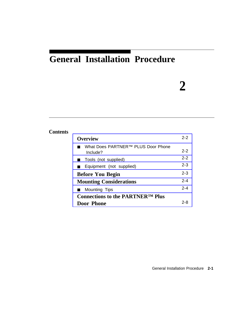## <span id="page-7-0"></span>**General Installation Procedure**

## **2**

#### **Contents [Overview](#page-8-1)** ■ What Does PARTNER<sup>™</sup> PLUS Door Phone Include? ■ [Tools \(not supplied\)](#page-8-3) ■ [Equipment \(not supplied\)](#page-9-1) **[Before You Begin](#page-9-2) [Mounting Considerations](#page-10-1)** ■ [Mounting Tips](#page-10-2) **[Connections to the PARTNER™ Plus](#page-14-1) Door Phone** 2-2 2-2 2-2 2-3 2-3 2-4 2-4 2-8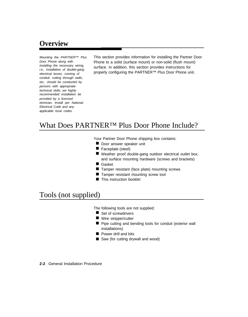conduit, cutting through walls, etc., should be conducted by persons with appropriate technical skills; we highly recommended installation be provided by a licensed elctrician. Install per National Electrical Code and any applicable local codes.

<span id="page-8-1"></span><span id="page-8-0"></span>Mounting the PARTNER™ Plus This section provides information for installing the Partner Door Door Phone along with <br>
installing the necessary wiring. <br>
surface the addition, this acation arguides instructions for installing the necessary wiring, surface. In addition, this section provides instructions for i.e., installation of double-gang electrical boxes, running of properly configuring the PARTNER<sup>TM</sup> Plus Door Phone unit.

## <span id="page-8-3"></span><span id="page-8-2"></span>What Does PARTNER™ Plus Door Phone Include?

Your Partner Door Phone shipping box contains:

- Door answer speaker unit
- Faceplate (steel)
- Weather proof double-gang outdoor electrical outlet box, and surface mounting hardware (screws and brackets)
- Gasket
- Tamper resistant (face plate) mounting screws
- Tamper resistant mounting screw tool
- This instruction booklet

## Tools (not supplied)

The following tools are not supplied:

- Set of screwdrivers
- Wire stripper/cutter
- Pipe cutting and bending tools for conduit (exterior wall installations)
- Power drill and bits
- Saw (for cutting drywall and wood)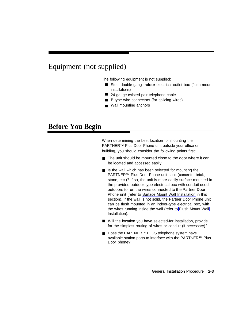## <span id="page-9-1"></span>Equipment (not supplied)

The following equipment is not supplied:

- Steel double-gang indoor electrical outlet box (flush-mount installations)
- 24 gauge twisted pair telephone cable
- B-type wire connectors (for splicing wires)
- Wall mounting anchors

### <span id="page-9-2"></span><span id="page-9-0"></span>**Before You Begin**

When determining the best location for mounting the PARTNER™ Plus Door Phone unit outside your office or building, you should consider the following points first:

- The unit should be mounted close to the door where it can be located and accessed easily.
- Is the wall which has been selected for mounting the PARTNER™ Plus Door Phone unit solid (concrete, brick, stone, etc.)? If so, the unit is more easily surface mounted in the provided outdoor-type electrical box with conduit used outdoors to run the wires connected to the Partner Door Phone unit (refer to [Surface Mount Wall Installation](#page-12-0) in this section). If the wall is not solid, the Partner Door Phone unit can be flush mounted in an indoor-type electrical box, with the wires running inside the wall (refer to [Flush Mount Wall](#page-13-0) Installation).
- Will the location you have selected-for installation, provide for the simplest routing of wires or conduit (if necessary)?
- Does the PARTNER<sup>™</sup> PLUS telephone system have available station ports to interface with the PARTNER™ Plus Door phone?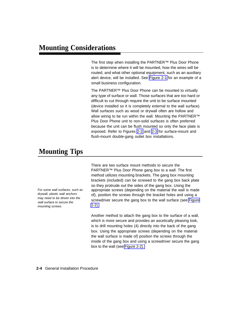<span id="page-10-1"></span><span id="page-10-0"></span>The first step when installing the PARTNER™ Plus Door Phone is to determine where it will be mounted, how the wires will be routed, and what other optional equipment, such as an auxiliary alert device, will be installed. See [Figure 2-1](#page-11-0) for an example of a small business configuration.

The PARTNER™ Plus Door Phone can be mounted to virtually any type of surface or wall. Those surfaces that are too hard or difficult to cut through require the unit to be surface mounted (device installed so it is completely external to the wall surface). Wall surfaces such as wood or drywall often are hollow and allow wiring to be run within the wall. Mounting the PARTNER™ Plus Door Phone unit to non-solid surfaces is often preferred because the unit can be flush mounted so only the face plate is exposed. Refer to Figures [2-2](#page-12-1) and [2-3](#page-13-1) for surface-mount and flush-mount double-gang outlet box installations.

## <span id="page-10-2"></span>**Mounting Tips**

For some wall surfaces, such as drywall, plastic wall anchors may need to be driven into the wall surface to secure the mounting screws.

There are two surface mount methods to secure the PARTNER™ Plus Door Phone gang box to a wall. The first method utilizes mounting brackets. The gang box mounting brackets (included) can be screwed to the gang box back plate so they protrude out the sides of the gang box. Using the appropriate screws (depending on the material the wall is made of), position the screws through the bracket holes and using a screwdriver secure the gang box to the wall surface (see [Figure](#page-12-1) [2-2\).](#page-12-1)

Another method to attach the gang box to the surface of a wall, which is more secure and provides an ascetically pleasing look, is to drill mounting holes (4) directly into the back of the gang box. Using the appropriate screws (depending on the material the wall surface is made of) position the screws through the inside of the gang box and using a screwdriver secure the gang box to the wall (see [Figure 2-2\).](#page-12-1)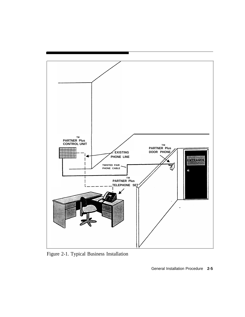<span id="page-11-0"></span>

Figure 2-1. Typical Business Installation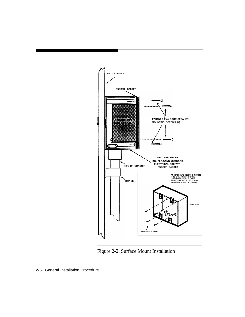<span id="page-12-1"></span><span id="page-12-0"></span>

Figure 2-2. Surface Mount Installation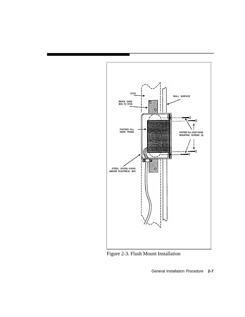<span id="page-13-1"></span><span id="page-13-0"></span>

Figure 2-3. Flush Mount Installation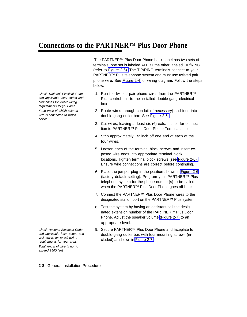## <span id="page-14-1"></span><span id="page-14-0"></span>**Connections to the PARTNER™ Plus Door Phone**

The PARTNER™ Plus Door Phone back panel has two sets of terminals; one set is labeled ALERT the other labeled TIP/RING (refer to [Figure 2-6\).](#page-16-1) The TIP/RING terminals connect to your PARTNER™ Plus telephone system and must use twisted pair phone wire. See [Figure 2-4](#page-15-0) for wiring diagram. Follow the steps below:

- 1. Run the twisted pair phone wires from the PARTNER™ Plus control unit to the installed double-gang electrical box.
- 2. Route wires through conduit (if necessary) and feed into double-gang outlet box. See [Figure 2-5.](#page-15-1)
- 3. Cut wires, leaving at least six (6) extra inches for connection to PARTNER™ Plus Door Phone Terminal strip.
- 4. Strip approximately 1/2 inch off one end of each of the four wires.
- 5. Loosen each of the terminal block screws and insert exposed wire ends into appropriate terminal block locations. Tighten terminal block screws (see [Figure 2-6\).](#page-16-1) Ensure wire connections are correct before continuing.
- 6. Place the jumper plug in the position shown in [Figure 2-6](#page-16-1) (factory default setting). Program your PARTNER™ Plus telephone system for the phone number(s) to be called when the PARTNER<sup>™</sup> Plus Door Phone goes off-hook.
- 7. Connect the PARTNER™ Plus Door Phone wires to the designated station port on the PARTNER™ Plus system.
- 8. Test the system by having an assistant call the designated extension number of the PARTNER™ Plus Door Phone. Adjust the speaker volume [\(Figure 2-7\)](#page-17-0) to an appropriate level.
- 9. Secure PARTNER™ Plus Door Phone and faceplate to double-gang outlet box with four mounting screws (included) as shown in [Figure 2-7.](#page-17-0)

Check National Electical Code and applicable local codes and ordinances for exact wiring requirements for your area. Keep track of which colored wire is connected to which device.

Check National Electrical Code and applicable local codes and ordinances for exact wiring requirements for your area. Total length of wire is not to exceed 1500 feet.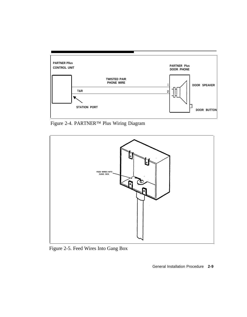<span id="page-15-0"></span>

Figure 2-4. PARTNER™ Plus Wiring Diagram

<span id="page-15-1"></span>

Figure 2-5. Feed Wires Into Gang Box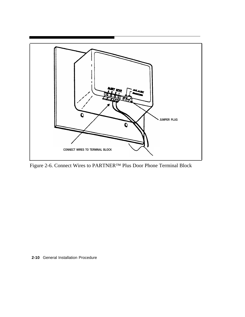<span id="page-16-1"></span><span id="page-16-0"></span>

Figure 2-6. Connect Wires to PARTNER™ Plus Door Phone Terminal Block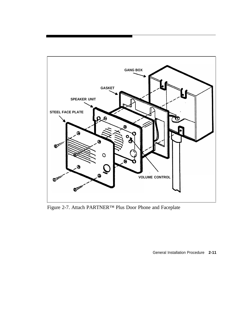<span id="page-17-0"></span>

Figure 2-7. Attach PARTNER™ Plus Door Phone and Faceplate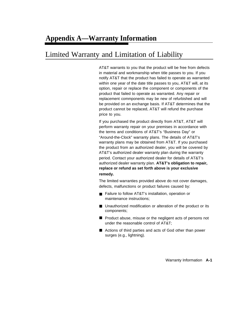## <span id="page-18-1"></span><span id="page-18-0"></span>Limited Warranty and Limitation of Liability

AT&T warrants to you that the product will be free from defects in material and workmanship when title passes to you. If you notify AT&T that the product has failed to operate as warranted within one year of the date title passes to you, AT&T will, at its option, repair or replace the component or components of the product that failed to operate as warranted. Any repair or replacement commponents may be new of refurbished and will be provided on an exchange basis. If AT&T determines that the product cannot be replaced, AT&T will refund the purchase price to you.

If you purchased the product directly from AT&T, AT&T will perform warranty repair on your premises in accordance with the terms and conditions of AT&T's "Business Day" or "Around-the-Clock" warranty plans. The details of AT&T's warranty plans may be obtained from AT&T. If you purchased the product from an authorized dealer, you will be covered by AT&T's authorized dealer warranty plan during the warranty period. Contact your authorized dealer for details of AT&T's authorized dealer warranty plan. **AT&T's obligation to repair, replace or refund as set forth above is your exclusive remedy.**

The limited warranties provided above do not cover damages, defects, malfunctions or product failures caused by:

- Failure to follow AT&T's installation, operation or maintenance instructions;
- Unauthorized modification or alteration of the product or its components;
- Product abuse, misuse or the negligent acts of persons not under the reasonable control of AT&T;
- Actions of third parties and acts of God other than power surges (e.g., lightning).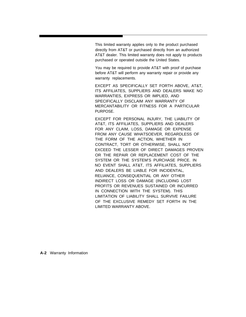This limited warranty applies only to the product purchased directly from AT&T or purchased directly from an authorized AT&T dealer. This limited warranty does not apply to products purchased or operated outside the United States.

You may be required to provide AT&T with proof of purchase before AT&T will perform any warranty repair or provide any warranty replacements.

EXCEPT AS SPECIFICALLY SET FORTH ABOVE, AT&T, ITS AFFILIATES, SUPPLIERS AND DEALERS MAKE NO WARRANTIES, EXPRESS OR IMPLIED, AND SPECIFICALLY DISCLAIM ANY WARRANTY OF MERCANTABILITY OR FITNESS FOR A PARTICULAR PURPOSE.

EXCEPT FOR PERSONAL INJURY, THE LIABILITY OF AT&T, ITS AFFILIATES, SUPPLIERS AND DEALERS FOR ANY CLAIM, LOSS, DAMAGE OR EXPENSE FROM ANY CAUSE WHATSOEVER, REGARDLESS OF THE FORM OF THE ACTION, WHETHER IN CONTRACT, TORT OR OTHERWISE, SHALL NOT EXCEED THE LESSER OF DIRECT DAMAGES PROVEN OR THE REPAIR OR REPLACEMENT COST OF THE SYSTEM OR THE SYSTEM'S PURCHASE PRICE. IN NO EVENT SHALL AT&T, ITS AFFILIATES, SUPPLIERS AND DEALERS BE LIABLE FOR INCIDENTAL, RELIANCE, CONSEQUENTIAL OR ANY OTHER INDIRECT LOSS OR DAMAGE (INCLUDING LOST PROFITS OR REVENUES SUSTAINED OR INCURRED IN CONNECTION WITH THE SYSTEM). THIS LIMITATION OF LIABILITY SHALL SURVIVE FAILURE OF THE EXCLUSIVE REMEDY SET FORTH IN THE LIMITED WARRANTY ABOVE.